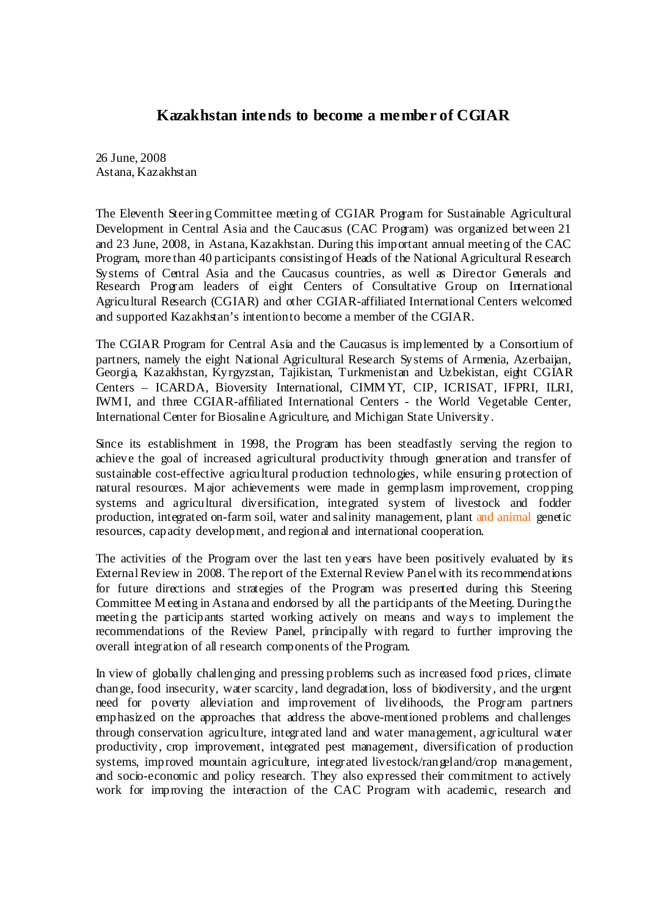## **Kazakhstan intends to become a member of CGIAR**

26 June, 2008 Astana, Kazakhstan

The Eleventh Steering Committee meeting of CGIAR Program for Sustainable Agricultural Development in Central Asia and the Caucasus (CAC Program) was organized between 21 and 23 June, 2008, in Astana, Kazakhstan. During this important annual meeting of the CAC Program, more than 40 participants consisting of Heads of the National Agricultural Research Systems of Central Asia and the Caucasus countries, as well as Director Generals and Research Program leaders of eight Centers of Consultative Group on International Agricultural Research (CGIAR) and other CGIAR-affiliated International Centers welcomed and supported Kazakhstan's intention to become a member of the CGIAR.

The CGIAR Program for Central Asia and the Caucasus is implemented by a Consortium of partners, namely the eight National Agricultural Research Systems of Armenia, Azerbaijan, Georgia, Kazakhstan, Kyrgyzstan, Tajikistan, Turkmenistan and Uzbekistan, eight CGIAR Centers – ICARDA, Bioversity International, CIMM YT, CIP, ICRISAT, IFPRI, ILRI, IWM I, and three CGIAR-affiliated International Centers - the World Vegetable Center, International Center for Biosaline Agriculture, and Michigan State University.

Since its establishment in 1998, the Program has been steadfastly serving the region to achieve the goal of increased agricultural productivity through generation and transfer of sustainable cost-effective agricultural production technologies, while ensuring protection of natural resources. M ajor achievements were made in germplasm improvement, cropping systems and agricultural diversification, integrated system of livestock and fodder production, integrated on-farm soil, water and salinity management, plant and animal genetic resources, capacity development, and regional and international cooperation.

The activities of the Program over the last ten years have been positively evaluated by its External Review in 2008. The report of the External Review Panel with its recommendations for future directions and strategies of the Program was presented during this Steering Committee M eeting in Astana and endorsed by all the participants of the Meeting. During the meeting the participants started working actively on means and ways to implement the recommendations of the Review Panel, principally with regard to further improving the overall integration of all research components of the Program.

In view of globally challenging and pressing problems such as increased food prices, climate change, food insecurity, water scarcity, land degradation, loss of biodiversity, and the urgent need for poverty alleviation and improvement of livelihoods, the Program partners emphasized on the approaches that address the above-mentioned problems and challenges through conservation agriculture, integrated land and water management, agricultural water productivity, crop improvement, integrated pest management, diversification of production systems, improved mountain agriculture, integrated livestock/rangeland/crop management, and socio-economic and policy research. They also expressed their commitment to actively work for improving the interaction of the CAC Program with academic, research and